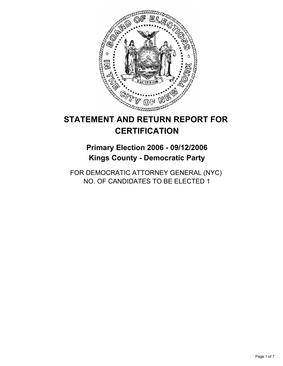

# **STATEMENT AND RETURN REPORT FOR CERTIFICATION**

# **Primary Election 2006 - 09/12/2006 Kings County - Democratic Party**

FOR DEMOCRATIC ATTORNEY GENERAL (NYC) NO. OF CANDIDATES TO BE ELECTED 1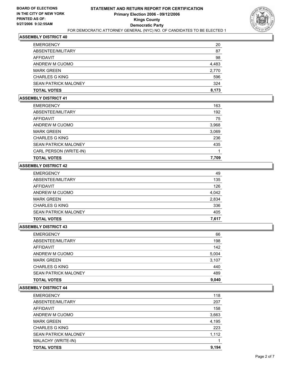

| <b>EMERGENCY</b>            | 20    |
|-----------------------------|-------|
| ABSENTEE/MILITARY           | 87    |
| AFFIDAVIT                   | 98    |
| ANDREW M CUOMO              | 4,483 |
| <b>MARK GREEN</b>           | 2,770 |
| <b>CHARLES G KING</b>       | 596   |
| <b>SEAN PATRICK MALONEY</b> | 324   |
| <b>TOTAL VOTES</b>          | 8,173 |

#### **ASSEMBLY DISTRICT 41**

| <b>EMERGENCY</b>            | 163   |
|-----------------------------|-------|
| ABSENTEE/MILITARY           | 192   |
| AFFIDAVIT                   | 75    |
| ANDREW M CUOMO              | 3,968 |
| <b>MARK GREEN</b>           | 3,069 |
| <b>CHARLES G KING</b>       | 236   |
| <b>SEAN PATRICK MALONEY</b> | 435   |
| CARL PERSON (WRITE-IN)      |       |
| <b>TOTAL VOTES</b>          | 7,709 |

# **ASSEMBLY DISTRICT 42**

| <b>EMERGENCY</b>            | 49    |
|-----------------------------|-------|
| ABSENTEE/MILITARY           | 135   |
| AFFIDAVIT                   | 126   |
| ANDREW M CUOMO              | 4,042 |
| <b>MARK GREEN</b>           | 2,834 |
| <b>CHARLES G KING</b>       | 336   |
| <b>SEAN PATRICK MALONEY</b> | 405   |
| <b>TOTAL VOTES</b>          | 7,617 |

# **ASSEMBLY DISTRICT 43**

| <b>TOTAL VOTES</b>          | 9,040 |
|-----------------------------|-------|
| <b>SEAN PATRICK MALONEY</b> | 489   |
| <b>CHARLES G KING</b>       | 440   |
| <b>MARK GREEN</b>           | 3,107 |
| ANDREW M CUOMO              | 5,004 |
| AFFIDAVIT                   | 142   |
| ABSENTEE/MILITARY           | 198   |
| <b>EMERGENCY</b>            | 66    |

| <b>EMERGENCY</b>            | 118   |
|-----------------------------|-------|
| ABSENTEE/MILITARY           | 207   |
| <b>AFFIDAVIT</b>            | 158   |
| ANDREW M CUOMO              | 3,663 |
| <b>MARK GREEN</b>           | 4,195 |
| <b>CHARLES G KING</b>       | 223   |
| <b>SEAN PATRICK MALONEY</b> | 1,112 |
| MALACHY (WRITE-IN)          |       |
| <b>TOTAL VOTES</b>          | 9,194 |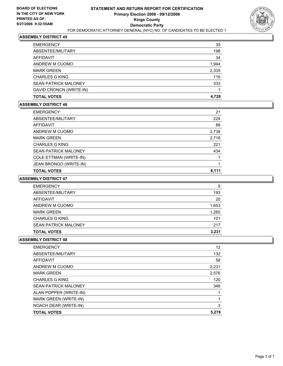

| <b>EMERGENCY</b>            | 35    |
|-----------------------------|-------|
| ABSENTEE/MILITARY           | 198   |
| AFFIDAVIT                   | 34    |
| ANDREW M CUOMO              | 1,944 |
| <b>MARK GREEN</b>           | 2,335 |
| <b>CHARLES G KING</b>       | 116   |
| <b>SEAN PATRICK MALONEY</b> | 333   |
| DAVID CRONCN (WRITE-IN)     |       |
| <b>TOTAL VOTES</b>          | 4.729 |

## **ASSEMBLY DISTRICT 46**

| <b>EMERGENCY</b>            | 21    |
|-----------------------------|-------|
| ABSENTEE/MILITARY           | 224   |
| AFFIDAVIT                   | 88    |
| ANDREW M CUOMO              | 2,738 |
| <b>MARK GREEN</b>           | 2,716 |
| <b>CHARLES G KING</b>       | 221   |
| <b>SEAN PATRICK MALONEY</b> | 434   |
| COLE ETTMAN (WRITE-IN)      |       |
| JEAN BRONGO (WRITE-IN)      |       |
| <b>TOTAL VOTES</b>          | 6,111 |

## **ASSEMBLY DISTRICT 47**

| <b>CHARLES G KING</b><br><b>SEAN PATRICK MALONEY</b> | 101<br>217 |
|------------------------------------------------------|------------|
| <b>MARK GREEN</b>                                    | 1,260      |
| ANDREW M CUOMO                                       | 1,653      |
| AFFIDAVIT                                            | 20         |
| ABSENTEE/MILITARY                                    | 193        |
| <b>EMERGENCY</b>                                     | 5          |

| 12    |
|-------|
| 132   |
| 58    |
| 2,231 |
| 2,576 |
| 120   |
| 346   |
|       |
|       |
| 3     |
| 5,278 |
|       |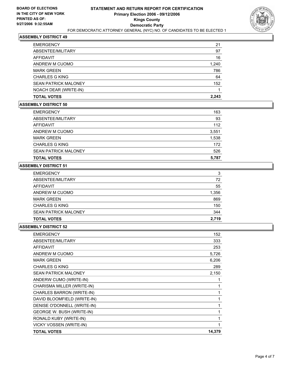

| <b>EMERGENCY</b>            | 21    |
|-----------------------------|-------|
| ABSENTEE/MILITARY           | 97    |
| AFFIDAVIT                   | 16    |
| ANDREW M CUOMO              | 1,240 |
| <b>MARK GREEN</b>           | 786   |
| <b>CHARLES G KING</b>       | 64    |
| <b>SEAN PATRICK MALONEY</b> | 152   |
| NOACH DEAR (WRITE-IN)       |       |
| <b>TOTAL VOTES</b>          | 2,243 |

## **ASSEMBLY DISTRICT 50**

| <b>EMERGENCY</b>            | 163   |
|-----------------------------|-------|
| ABSENTEE/MILITARY           | 93    |
| <b>AFFIDAVIT</b>            | 112   |
| ANDREW M CUOMO              | 3,551 |
| <b>MARK GREEN</b>           | 1,538 |
| <b>CHARLES G KING</b>       | 172   |
| <b>SEAN PATRICK MALONEY</b> | 526   |
| <b>TOTAL VOTES</b>          | 5,787 |

# **ASSEMBLY DISTRICT 51**

| <b>EMERGENCY</b>            | 3     |
|-----------------------------|-------|
| ABSENTEE/MILITARY           | 72    |
| AFFIDAVIT                   | 55    |
| ANDREW M CUOMO              | 1,356 |
| <b>MARK GREEN</b>           | 869   |
| <b>CHARLES G KING</b>       | 150   |
| <b>SEAN PATRICK MALONEY</b> | 344   |
| <b>TOTAL VOTES</b>          | 2,719 |

| <b>EMERGENCY</b>                 | 152    |
|----------------------------------|--------|
| ABSENTEE/MILITARY                | 333    |
| <b>AFFIDAVIT</b>                 | 253    |
| ANDREW M CUOMO                   | 5,726  |
| <b>MARK GREEN</b>                | 6,206  |
| <b>CHARLES G KING</b>            | 289    |
| <b>SEAN PATRICK MALONEY</b>      | 2,150  |
| ANDERW CUMO (WRITE-IN)           |        |
| CHARISMA MILLER (WRITE-IN)       |        |
| CHARLES BARRON (WRITE-IN)        |        |
| DAVID BLOOMFIELD (WRITE-IN)      |        |
| DENISE O'DONNELL (WRITE-IN)      |        |
| <b>GEORGE W. BUSH (WRITE-IN)</b> |        |
| RONALD KUBY (WRITE-IN)           |        |
| VICKY VOSSEN (WRITE-IN)          |        |
| <b>TOTAL VOTES</b>               | 14.379 |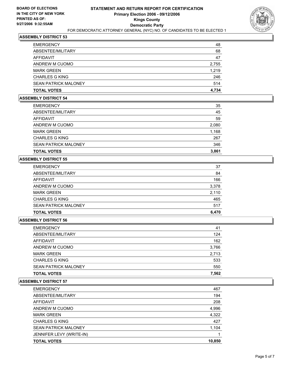

| <b>EMERGENCY</b>            | 48    |
|-----------------------------|-------|
| ABSENTEE/MILITARY           | 68    |
| AFFIDAVIT                   | 47    |
| ANDREW M CUOMO              | 2,755 |
| <b>MARK GREEN</b>           | 1,219 |
| <b>CHARLES G KING</b>       | 246   |
| <b>SEAN PATRICK MALONEY</b> | 514   |
| <b>TOTAL VOTES</b>          | 4,734 |

#### **ASSEMBLY DISTRICT 54**

| 35    |
|-------|
| 45    |
| 59    |
| 2,080 |
| 1,168 |
| 267   |
| 346   |
| 3,861 |
|       |

# **ASSEMBLY DISTRICT 55**

| <b>EMERGENCY</b>            | 37    |
|-----------------------------|-------|
| ABSENTEE/MILITARY           | 84    |
| AFFIDAVIT                   | 166   |
| ANDREW M CUOMO              | 3,378 |
| <b>MARK GREEN</b>           | 2,110 |
| <b>CHARLES G KING</b>       | 465   |
| <b>SEAN PATRICK MALONEY</b> | 517   |
| <b>TOTAL VOTES</b>          | 6,470 |

## **ASSEMBLY DISTRICT 56**

| <b>EMERGENCY</b>            | 41    |
|-----------------------------|-------|
| ABSENTEE/MILITARY           | 124   |
| AFFIDAVIT                   | 162   |
| ANDREW M CUOMO              | 3,766 |
| <b>MARK GREEN</b>           | 2,713 |
| <b>CHARLES G KING</b>       | 533   |
| <b>SEAN PATRICK MALONEY</b> | 550   |
| <b>TOTAL VOTES</b>          | 7,562 |
|                             |       |

| <b>EMERGENCY</b>            | 467    |
|-----------------------------|--------|
| ABSENTEE/MILITARY           | 194    |
| AFFIDAVIT                   | 208    |
| ANDREW M CUOMO              | 4,996  |
| <b>MARK GREEN</b>           | 4,322  |
| <b>CHARLES G KING</b>       | 427    |
| <b>SEAN PATRICK MALONEY</b> | 1,104  |
| JENNIFER LEVY (WRITE-IN)    |        |
| <b>TOTAL VOTES</b>          | 10,850 |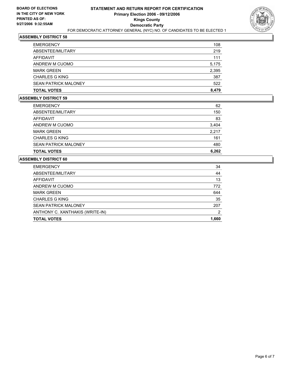

| <b>TOTAL VOTES</b>          | 8,479 |
|-----------------------------|-------|
| <b>SEAN PATRICK MALONEY</b> | 522   |
| <b>CHARLES G KING</b>       | 387   |
| <b>MARK GREEN</b>           | 2,395 |
| ANDREW M CUOMO              | 5,175 |
| AFFIDAVIT                   | 111   |
| ABSENTEE/MILITARY           | 219   |
| EMERGENCY                   | 108   |

## **ASSEMBLY DISTRICT 59**

| <b>TOTAL VOTES</b>          | 6,262 |
|-----------------------------|-------|
| <b>SEAN PATRICK MALONEY</b> | 480   |
| <b>CHARLES G KING</b>       | 161   |
| <b>MARK GREEN</b>           | 2,217 |
| ANDREW M CUOMO              | 3,404 |
| AFFIDAVIT                   | 83    |
| ABSENTEE/MILITARY           | 150   |
| <b>EMERGENCY</b>            | 62    |

| 34    |
|-------|
| 44    |
| 13    |
| 772   |
| 644   |
| 35    |
| 207   |
| 2     |
| 1,660 |
|       |